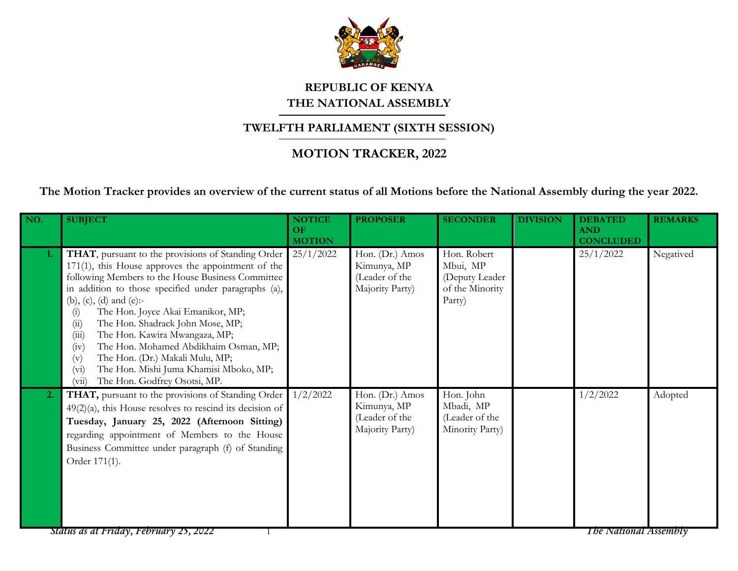

## **REPUBLIC OF KENYA THE NATIONAL ASSEMBLY**

## **TWELFTH PARLIAMENT (SIXTH SESSION)**

## **MOTION TRACKER, 2022**

**The Motion Tracker provides an overview of the current status of all Motions before the National Assembly during the year 2022.**

| NO. | <b>SUBJECT</b>                                                                                                                                                                                                                                                                                                                                                                                                                                                                                                                                                                                      | <b>NOTICE</b><br>OF<br><b>MOTION</b> | <b>PROPOSER</b>                                                     | <b>SECONDER</b>                                                        | <b>DIVISION</b> | <b>DEBATED</b><br><b>AND</b><br><b>CONCLUDED</b> | <b>REMARKS</b> |
|-----|-----------------------------------------------------------------------------------------------------------------------------------------------------------------------------------------------------------------------------------------------------------------------------------------------------------------------------------------------------------------------------------------------------------------------------------------------------------------------------------------------------------------------------------------------------------------------------------------------------|--------------------------------------|---------------------------------------------------------------------|------------------------------------------------------------------------|-----------------|--------------------------------------------------|----------------|
| 1.  | THAT, pursuant to the provisions of Standing Order<br>171(1), this House approves the appointment of the<br>following Members to the House Business Committee<br>in addition to those specified under paragraphs (a),<br>(b), (c), (d) and (e):-<br>The Hon. Joyce Akai Emanikor, MP;<br>$\left( i\right)$<br>The Hon. Shadrack John Mose, MP;<br>(ii)<br>The Hon. Kawira Mwangaza, MP;<br>(iii)<br>The Hon. Mohamed Abdikhaim Osman, MP;<br>(iv)<br>The Hon. (Dr.) Makali Mulu, MP;<br>(v)<br>The Hon. Mishi Juma Khamisi Mboko, MP;<br>(v <sub>i</sub> )<br>The Hon. Godfrey Osotsi, MP.<br>(vii) | 25/1/2022                            | Hon. (Dr.) Amos<br>Kimunya, MP<br>(Leader of the<br>Majority Party) | Hon. Robert<br>Mbui, MP<br>(Deputy Leader<br>of the Minority<br>Party) |                 | 25/1/2022                                        | Negatived      |
| 2.  | THAT, pursuant to the provisions of Standing Order<br>$49(2)(a)$ , this House resolves to rescind its decision of<br>Tuesday, January 25, 2022 (Afternoon Sitting)<br>regarding appointment of Members to the House<br>Business Committee under paragraph (f) of Standing<br>Order 171(1).                                                                                                                                                                                                                                                                                                          | 1/2/2022                             | Hon. (Dr.) Amos<br>Kimunya, MP<br>(Leader of the<br>Majority Party) | Hon. John<br>Mbadi, MP<br>(Leader of the<br>Minority Party)            |                 | 1/2/2022                                         | Adopted        |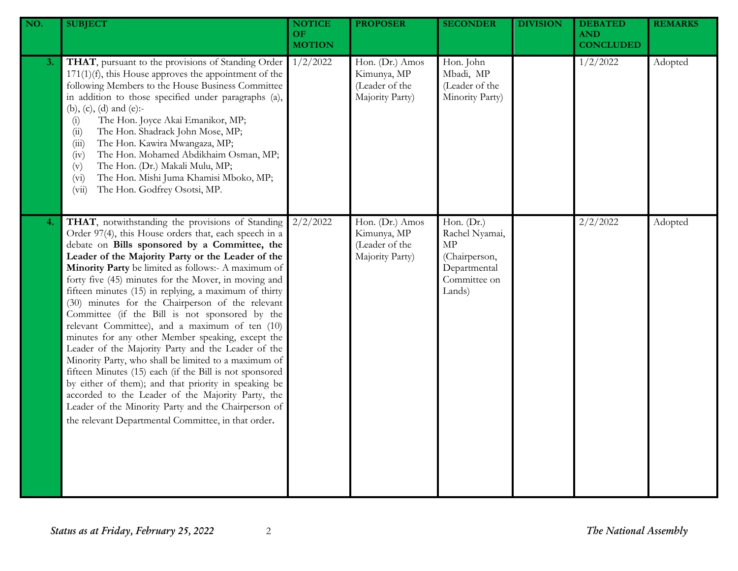| NO. | <b>SUBJECT</b>                                                                                                                                                                                                                                                                                                                                                                                                                                                                                                                                                                                                                                                                                                                                                                                                                                                                                                                                                                                           | <b>NOTICE</b><br>OF<br><b>MOTION</b> | <b>PROPOSER</b>                                                     | <b>SECONDER</b>                                                                               | <b>DIVISION</b> | <b>DEBATED</b><br><b>AND</b><br><b>CONCLUDED</b> | <b>REMARKS</b> |
|-----|----------------------------------------------------------------------------------------------------------------------------------------------------------------------------------------------------------------------------------------------------------------------------------------------------------------------------------------------------------------------------------------------------------------------------------------------------------------------------------------------------------------------------------------------------------------------------------------------------------------------------------------------------------------------------------------------------------------------------------------------------------------------------------------------------------------------------------------------------------------------------------------------------------------------------------------------------------------------------------------------------------|--------------------------------------|---------------------------------------------------------------------|-----------------------------------------------------------------------------------------------|-----------------|--------------------------------------------------|----------------|
| 3.  | THAT, pursuant to the provisions of Standing Order<br>$171(1)(f)$ , this House approves the appointment of the<br>following Members to the House Business Committee<br>in addition to those specified under paragraphs (a),<br>(b), (c), (d) and (e):-<br>The Hon. Joyce Akai Emanikor, MP;<br>(i)<br>The Hon. Shadrack John Mose, MP;<br>(ii)<br>The Hon. Kawira Mwangaza, MP;<br>(iii)<br>The Hon. Mohamed Abdikhaim Osman, MP;<br>(iv)<br>The Hon. (Dr.) Makali Mulu, MP;<br>(v)<br>The Hon. Mishi Juma Khamisi Mboko, MP;<br>(v <sub>i</sub> )<br>The Hon. Godfrey Osotsi, MP.<br>(vii)                                                                                                                                                                                                                                                                                                                                                                                                              | 1/2/2022                             | Hon. (Dr.) Amos<br>Kimunya, MP<br>(Leader of the<br>Majority Party) | Hon. John<br>Mbadi, MP<br>(Leader of the<br>Minority Party)                                   |                 | 1/2/2022                                         | Adopted        |
| 4.  | THAT, notwithstanding the provisions of Standing<br>Order 97(4), this House orders that, each speech in a<br>debate on Bills sponsored by a Committee, the<br>Leader of the Majority Party or the Leader of the<br>Minority Party be limited as follows:- A maximum of<br>forty five (45) minutes for the Mover, in moving and<br>fifteen minutes (15) in replying, a maximum of thirty<br>(30) minutes for the Chairperson of the relevant<br>Committee (if the Bill is not sponsored by the<br>relevant Committee), and a maximum of ten (10)<br>minutes for any other Member speaking, except the<br>Leader of the Majority Party and the Leader of the<br>Minority Party, who shall be limited to a maximum of<br>fifteen Minutes (15) each (if the Bill is not sponsored<br>by either of them); and that priority in speaking be<br>accorded to the Leader of the Majority Party, the<br>Leader of the Minority Party and the Chairperson of<br>the relevant Departmental Committee, in that order. | 2/2/2022                             | Hon. (Dr.) Amos<br>Kimunya, MP<br>(Leader of the<br>Majority Party) | Hon. (Dr.)<br>Rachel Nyamai,<br>MP<br>(Chairperson,<br>Departmental<br>Committee on<br>Lands) |                 | 2/2/2022                                         | Adopted        |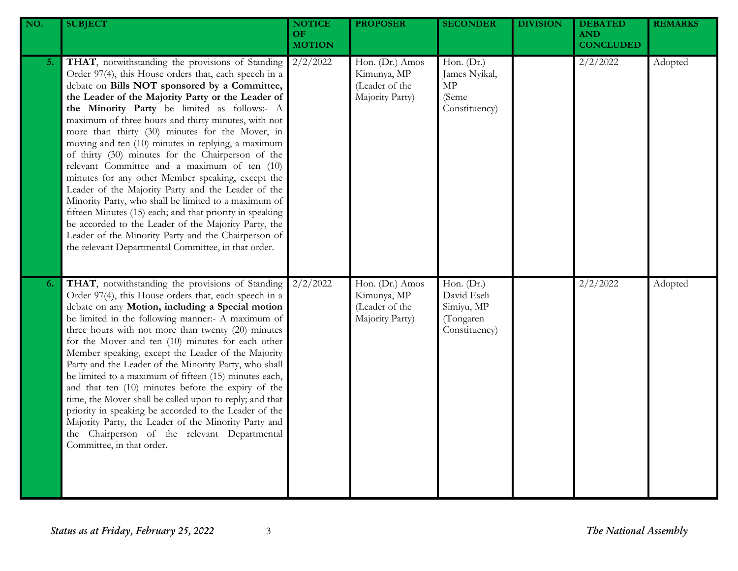| NO. | <b>SUBJECT</b>                                                                                                                                                                                                                                                                                                                                                                                                                                                                                                                                                                                                                                                                                                                                                                                                                                                                                                                            | <b>NOTICE</b><br><b>OF</b><br><b>MOTION</b> | <b>PROPOSER</b>                                                     | <b>SECONDER</b>                                                       | <b>DIVISION</b> | <b>DEBATED</b><br><b>AND</b><br><b>CONCLUDED</b> | <b>REMARKS</b> |
|-----|-------------------------------------------------------------------------------------------------------------------------------------------------------------------------------------------------------------------------------------------------------------------------------------------------------------------------------------------------------------------------------------------------------------------------------------------------------------------------------------------------------------------------------------------------------------------------------------------------------------------------------------------------------------------------------------------------------------------------------------------------------------------------------------------------------------------------------------------------------------------------------------------------------------------------------------------|---------------------------------------------|---------------------------------------------------------------------|-----------------------------------------------------------------------|-----------------|--------------------------------------------------|----------------|
| 5.  | THAT, notwithstanding the provisions of Standing<br>Order 97(4), this House orders that, each speech in a<br>debate on Bills NOT sponsored by a Committee,<br>the Leader of the Majority Party or the Leader of<br>the Minority Party be limited as follows:- A<br>maximum of three hours and thirty minutes, with not<br>more than thirty (30) minutes for the Mover, in<br>moving and ten (10) minutes in replying, a maximum<br>of thirty (30) minutes for the Chairperson of the<br>relevant Committee and a maximum of ten (10)<br>minutes for any other Member speaking, except the<br>Leader of the Majority Party and the Leader of the<br>Minority Party, who shall be limited to a maximum of<br>fifteen Minutes (15) each; and that priority in speaking<br>be accorded to the Leader of the Majority Party, the<br>Leader of the Minority Party and the Chairperson of<br>the relevant Departmental Committee, in that order. | 2/2/2022                                    | Hon. (Dr.) Amos<br>Kimunya, MP<br>(Leader of the<br>Majority Party) | Hon. (Dr.)<br>James Nyikal,<br>MP<br>(Seme<br>Constituency)           |                 | 2/2/2022                                         | Adopted        |
| 6.  | THAT, notwithstanding the provisions of Standing<br>Order 97(4), this House orders that, each speech in a<br>debate on any Motion, including a Special motion<br>be limited in the following manner:- A maximum of<br>three hours with not more than twenty (20) minutes<br>for the Mover and ten (10) minutes for each other<br>Member speaking, except the Leader of the Majority<br>Party and the Leader of the Minority Party, who shall<br>be limited to a maximum of fifteen (15) minutes each,<br>and that ten (10) minutes before the expiry of the<br>time, the Mover shall be called upon to reply; and that<br>priority in speaking be accorded to the Leader of the<br>Majority Party, the Leader of the Minority Party and<br>the Chairperson of the relevant Departmental<br>Committee, in that order.                                                                                                                      | 2/2/2022                                    | Hon. (Dr.) Amos<br>Kimunya, MP<br>(Leader of the<br>Majority Party) | Hon. (Dr.)<br>David Eseli<br>Simiyu, MP<br>(Tongaren<br>Constituency) |                 | 2/2/2022                                         | Adopted        |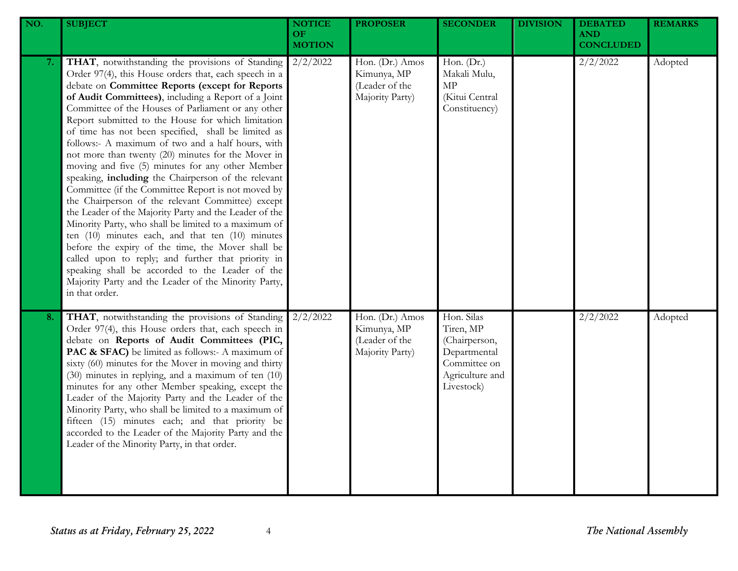| NO. | <b>SUBJECT</b>                                                                                                                                                                                                                                                                                                                                                                                                                                                                                                                                                                                                                                                                                                                                                                                                                                                                                                                                                                                                                                                                                                                            | <b>NOTICE</b><br>OF.<br><b>MOTION</b> | <b>PROPOSER</b>                                                     | <b>SECONDER</b>                                                                                           | <b>DIVISION</b> | <b>DEBATED</b><br><b>AND</b><br><b>CONCLUDED</b> | <b>REMARKS</b> |
|-----|-------------------------------------------------------------------------------------------------------------------------------------------------------------------------------------------------------------------------------------------------------------------------------------------------------------------------------------------------------------------------------------------------------------------------------------------------------------------------------------------------------------------------------------------------------------------------------------------------------------------------------------------------------------------------------------------------------------------------------------------------------------------------------------------------------------------------------------------------------------------------------------------------------------------------------------------------------------------------------------------------------------------------------------------------------------------------------------------------------------------------------------------|---------------------------------------|---------------------------------------------------------------------|-----------------------------------------------------------------------------------------------------------|-----------------|--------------------------------------------------|----------------|
| 7.  | THAT, notwithstanding the provisions of Standing<br>Order 97(4), this House orders that, each speech in a<br>debate on Committee Reports (except for Reports<br>of Audit Committees), including a Report of a Joint<br>Committee of the Houses of Parliament or any other<br>Report submitted to the House for which limitation<br>of time has not been specified, shall be limited as<br>follows:- A maximum of two and a half hours, with<br>not more than twenty (20) minutes for the Mover in<br>moving and five (5) minutes for any other Member<br>speaking, including the Chairperson of the relevant<br>Committee (if the Committee Report is not moved by<br>the Chairperson of the relevant Committee) except<br>the Leader of the Majority Party and the Leader of the<br>Minority Party, who shall be limited to a maximum of<br>ten $(10)$ minutes each, and that ten $(10)$ minutes<br>before the expiry of the time, the Mover shall be<br>called upon to reply; and further that priority in<br>speaking shall be accorded to the Leader of the<br>Majority Party and the Leader of the Minority Party,<br>in that order. | 2/2/2022                              | Hon. (Dr.) Amos<br>Kimunya, MP<br>(Leader of the<br>Majority Party) | Hon. (Dr.)<br>Makali Mulu,<br>$\ensuremath{\mathrm{MP}}$<br>(Kitui Central<br>Constituency)               |                 | 2/2/2022                                         | Adopted        |
| 8.  | THAT, notwithstanding the provisions of Standing<br>Order 97(4), this House orders that, each speech in<br>debate on Reports of Audit Committees (PIC,<br>PAC & SFAC) be limited as follows:- A maximum of<br>sixty (60) minutes for the Mover in moving and thirty<br>(30) minutes in replying, and a maximum of ten (10)<br>minutes for any other Member speaking, except the<br>Leader of the Majority Party and the Leader of the<br>Minority Party, who shall be limited to a maximum of<br>fifteen (15) minutes each; and that priority be<br>accorded to the Leader of the Majority Party and the<br>Leader of the Minority Party, in that order.                                                                                                                                                                                                                                                                                                                                                                                                                                                                                  | 2/2/2022                              | Hon. (Dr.) Amos<br>Kimunya, MP<br>(Leader of the<br>Majority Party) | Hon. Silas<br>Tiren, MP<br>(Chairperson,<br>Departmental<br>Committee on<br>Agriculture and<br>Livestock) |                 | 2/2/2022                                         | Adopted        |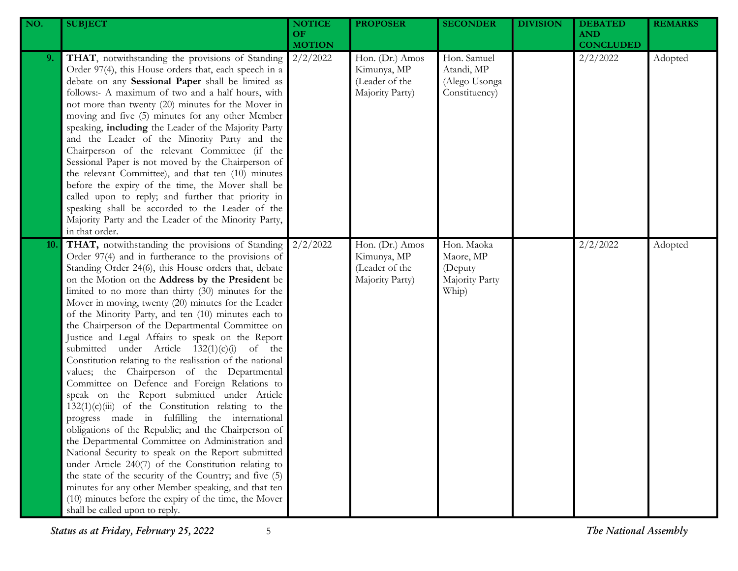| NO. | <b>SUBJECT</b>                                                                                                                                                                                                                                                                                                                                                                                                                                                                                                                                                                                                                                                                                                                                                                                                                                                                                                                                                                                                                                                                                                                                                                                                                                                                                                | <b>NOTICE</b><br><b>OF</b><br><b>MOTION</b> | <b>PROPOSER</b>                                                     | <b>SECONDER</b>                                               | <b>DIVISION</b> | <b>DEBATED</b><br><b>AND</b><br><b>CONCLUDED</b> | <b>REMARKS</b> |
|-----|---------------------------------------------------------------------------------------------------------------------------------------------------------------------------------------------------------------------------------------------------------------------------------------------------------------------------------------------------------------------------------------------------------------------------------------------------------------------------------------------------------------------------------------------------------------------------------------------------------------------------------------------------------------------------------------------------------------------------------------------------------------------------------------------------------------------------------------------------------------------------------------------------------------------------------------------------------------------------------------------------------------------------------------------------------------------------------------------------------------------------------------------------------------------------------------------------------------------------------------------------------------------------------------------------------------|---------------------------------------------|---------------------------------------------------------------------|---------------------------------------------------------------|-----------------|--------------------------------------------------|----------------|
| 9.  | THAT, notwithstanding the provisions of Standing<br>Order 97(4), this House orders that, each speech in a<br>debate on any Sessional Paper shall be limited as<br>follows:- A maximum of two and a half hours, with<br>not more than twenty (20) minutes for the Mover in<br>moving and five (5) minutes for any other Member<br>speaking, including the Leader of the Majority Party<br>and the Leader of the Minority Party and the<br>Chairperson of the relevant Committee (if the<br>Sessional Paper is not moved by the Chairperson of<br>the relevant Committee), and that ten (10) minutes<br>before the expiry of the time, the Mover shall be<br>called upon to reply; and further that priority in<br>speaking shall be accorded to the Leader of the<br>Majority Party and the Leader of the Minority Party,<br>in that order.                                                                                                                                                                                                                                                                                                                                                                                                                                                                    | 2/2/2022                                    | Hon. (Dr.) Amos<br>Kimunya, MP<br>(Leader of the<br>Majority Party) | Hon. Samuel<br>Atandi, MP<br>(Alego Usonga<br>Constituency)   |                 | 2/2/2022                                         | Adopted        |
| 10. | THAT, notwithstanding the provisions of Standing<br>Order 97(4) and in furtherance to the provisions of<br>Standing Order 24(6), this House orders that, debate<br>on the Motion on the Address by the President be<br>limited to no more than thirty (30) minutes for the<br>Mover in moving, twenty (20) minutes for the Leader<br>of the Minority Party, and ten (10) minutes each to<br>the Chairperson of the Departmental Committee on<br>Justice and Legal Affairs to speak on the Report<br>submitted under Article $132(1)(c)(i)$<br>of the<br>Constitution relating to the realisation of the national<br>values; the Chairperson of the Departmental<br>Committee on Defence and Foreign Relations to<br>speak on the Report submitted under Article<br>$132(1)(c)(iii)$ of the Constitution relating to the<br>progress made in fulfilling the international<br>obligations of the Republic; and the Chairperson of<br>the Departmental Committee on Administration and<br>National Security to speak on the Report submitted<br>under Article 240(7) of the Constitution relating to<br>the state of the security of the Country; and five (5)<br>minutes for any other Member speaking, and that ten<br>(10) minutes before the expiry of the time, the Mover<br>shall be called upon to reply. | 2/2/2022                                    | Hon. (Dr.) Amos<br>Kimunya, MP<br>(Leader of the<br>Majority Party) | Hon. Maoka<br>Maore, MP<br>(Deputy<br>Majority Party<br>Whip) |                 | 2/2/2022                                         | Adopted        |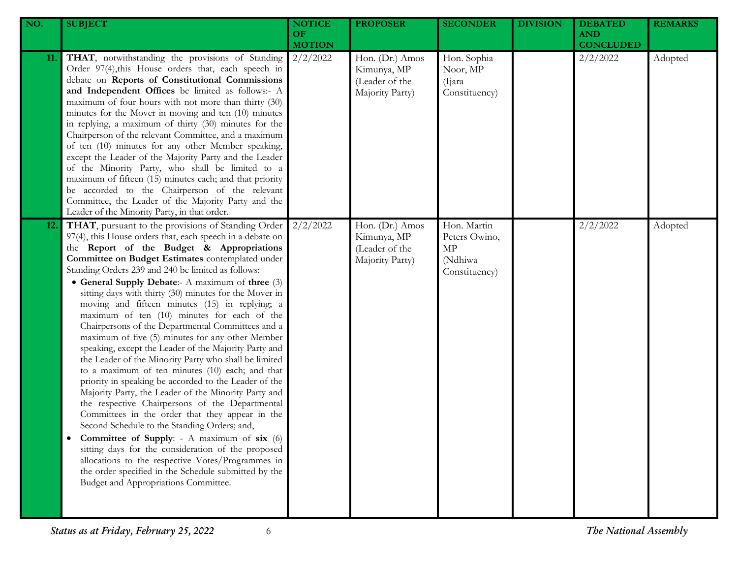| NO. | <b>SUBJECT</b>                                                                                                                                                                                                                                                                                                                                                                                                                                                                                                                                                                                                                                                                                                                                                                                                                                                                                                                                                                                                                                                                                                                                                                                                                                                                                              | <b>NOTICE</b><br>OF.<br><b>MOTION</b> | <b>PROPOSER</b>                                                     | <b>SECONDER</b>                                                | <b>DIVISION</b> | <b>DEBATED</b><br><b>AND</b><br><b>CONCLUDED</b> | <b>REMARKS</b> |
|-----|-------------------------------------------------------------------------------------------------------------------------------------------------------------------------------------------------------------------------------------------------------------------------------------------------------------------------------------------------------------------------------------------------------------------------------------------------------------------------------------------------------------------------------------------------------------------------------------------------------------------------------------------------------------------------------------------------------------------------------------------------------------------------------------------------------------------------------------------------------------------------------------------------------------------------------------------------------------------------------------------------------------------------------------------------------------------------------------------------------------------------------------------------------------------------------------------------------------------------------------------------------------------------------------------------------------|---------------------------------------|---------------------------------------------------------------------|----------------------------------------------------------------|-----------------|--------------------------------------------------|----------------|
| 11. | THAT, notwithstanding the provisions of Standing<br>Order 97(4), this House orders that, each speech in<br>debate on Reports of Constitutional Commissions<br>and Independent Offices be limited as follows:- A<br>maximum of four hours with not more than thirty (30)<br>minutes for the Mover in moving and ten (10) minutes<br>in replying, a maximum of thirty (30) minutes for the<br>Chairperson of the relevant Committee, and a maximum<br>of ten (10) minutes for any other Member speaking,<br>except the Leader of the Majority Party and the Leader<br>of the Minority Party, who shall be limited to a<br>maximum of fifteen (15) minutes each; and that priority<br>be accorded to the Chairperson of the relevant<br>Committee, the Leader of the Majority Party and the<br>Leader of the Minority Party, in that order.                                                                                                                                                                                                                                                                                                                                                                                                                                                                    | 2/2/2022                              | Hon. (Dr.) Amos<br>Kimunya, MP<br>(Leader of the<br>Majority Party) | Hon. Sophia<br>Noor, MP<br>(Ijara)<br>Constituency)            |                 | 2/2/2022                                         | Adopted        |
| 12. | THAT, pursuant to the provisions of Standing Order<br>97(4), this House orders that, each speech in a debate on<br>the Report of the Budget & Appropriations<br>Committee on Budget Estimates contemplated under<br>Standing Orders 239 and 240 be limited as follows:<br>• General Supply Debate:- A maximum of three (3)<br>sitting days with thirty (30) minutes for the Mover in<br>moving and fifteen minutes (15) in replying; a<br>maximum of ten (10) minutes for each of the<br>Chairpersons of the Departmental Committees and a<br>maximum of five (5) minutes for any other Member<br>speaking, except the Leader of the Majority Party and<br>the Leader of the Minority Party who shall be limited<br>to a maximum of ten minutes (10) each; and that<br>priority in speaking be accorded to the Leader of the<br>Majority Party, the Leader of the Minority Party and<br>the respective Chairpersons of the Departmental<br>Committees in the order that they appear in the<br>Second Schedule to the Standing Orders; and,<br><b>Committee of Supply:</b> - A maximum of six (6)<br>sitting days for the consideration of the proposed<br>allocations to the respective Votes/Programmes in<br>the order specified in the Schedule submitted by the<br>Budget and Appropriations Committee. | 2/2/2022                              | Hon. (Dr.) Amos<br>Kimunya, MP<br>(Leader of the<br>Majority Party) | Hon. Martin<br>Peters Owino,<br>MP<br>(Ndhiwa<br>Constituency) |                 | 2/2/2022                                         | Adopted        |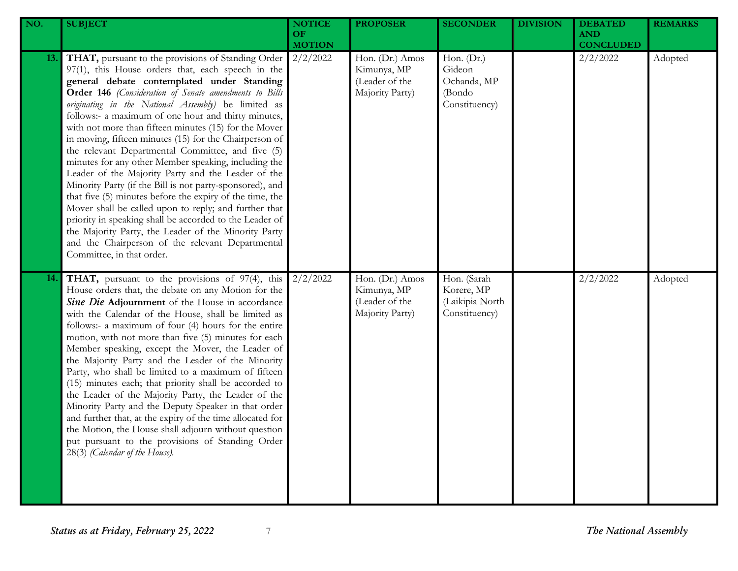| NO. | <b>SUBJECT</b>                                                                                                                                                                                                                                                                                                                                                                                                                                                                                                                                                                                                                                                                                                                                                                                                                                                                                                                                                                                           | <b>NOTICE</b><br><b>OF</b><br><b>MOTION</b> | <b>PROPOSER</b>                                                     | <b>SECONDER</b>                                                | <b>DIVISION</b> | <b>DEBATED</b><br><b>AND</b><br><b>CONCLUDED</b> | <b>REMARKS</b> |
|-----|----------------------------------------------------------------------------------------------------------------------------------------------------------------------------------------------------------------------------------------------------------------------------------------------------------------------------------------------------------------------------------------------------------------------------------------------------------------------------------------------------------------------------------------------------------------------------------------------------------------------------------------------------------------------------------------------------------------------------------------------------------------------------------------------------------------------------------------------------------------------------------------------------------------------------------------------------------------------------------------------------------|---------------------------------------------|---------------------------------------------------------------------|----------------------------------------------------------------|-----------------|--------------------------------------------------|----------------|
| 13. | THAT, pursuant to the provisions of Standing Order<br>97(1), this House orders that, each speech in the<br>general debate contemplated under Standing<br>Order 146 (Consideration of Senate amendments to Bills<br>originating in the National Assembly) be limited as<br>follows:- a maximum of one hour and thirty minutes,<br>with not more than fifteen minutes (15) for the Mover<br>in moving, fifteen minutes (15) for the Chairperson of<br>the relevant Departmental Committee, and five (5)<br>minutes for any other Member speaking, including the<br>Leader of the Majority Party and the Leader of the<br>Minority Party (if the Bill is not party-sponsored), and<br>that five (5) minutes before the expiry of the time, the<br>Mover shall be called upon to reply; and further that<br>priority in speaking shall be accorded to the Leader of<br>the Majority Party, the Leader of the Minority Party<br>and the Chairperson of the relevant Departmental<br>Committee, in that order. | 2/2/2022                                    | Hon. (Dr.) Amos<br>Kimunya, MP<br>(Leader of the<br>Majority Party) | Hon. (Dr.)<br>Gideon<br>Ochanda, MP<br>(Bondo<br>Constituency) |                 | 2/2/2022                                         | Adopted        |
| 14. | <b>THAT</b> , pursuant to the provisions of 97(4), this<br>House orders that, the debate on any Motion for the<br>Sine Die Adjournment of the House in accordance<br>with the Calendar of the House, shall be limited as<br>follows:- a maximum of four (4) hours for the entire<br>motion, with not more than five (5) minutes for each<br>Member speaking, except the Mover, the Leader of<br>the Majority Party and the Leader of the Minority<br>Party, who shall be limited to a maximum of fifteen<br>(15) minutes each; that priority shall be accorded to<br>the Leader of the Majority Party, the Leader of the<br>Minority Party and the Deputy Speaker in that order<br>and further that, at the expiry of the time allocated for<br>the Motion, the House shall adjourn without question<br>put pursuant to the provisions of Standing Order<br>28(3) (Calendar of the House).                                                                                                               | 2/2/2022                                    | Hon. (Dr.) Amos<br>Kimunya, MP<br>(Leader of the<br>Majority Party) | Hon. (Sarah<br>Korere, MP<br>(Laikipia North<br>Constituency)  |                 | 2/2/2022                                         | Adopted        |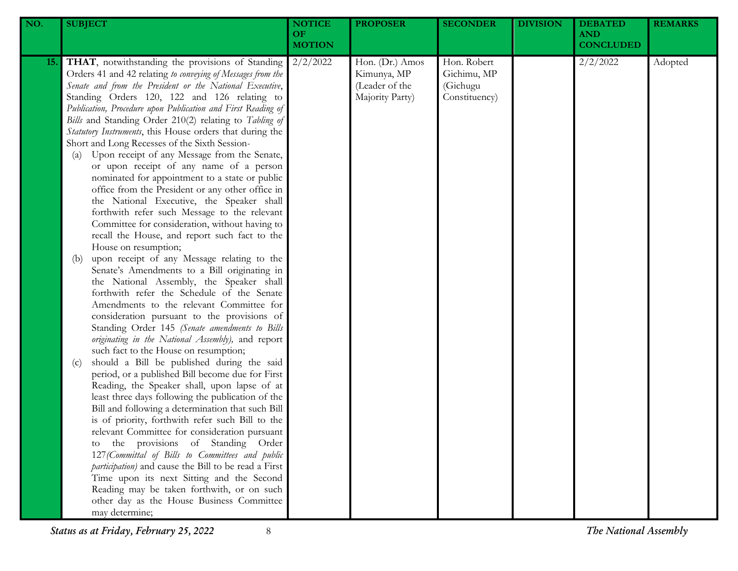| NO.        | <b>SUBJECT</b>                                                                                                                                                                                                                                                                                                                                                                                                                                                                                                                                                                                                                                                                                                                                                                                                                                                                                                                                                                                                                                                                                                                                                                                                                                                                                                                                                                                                                                                                                                                                                                                                                                                                                                                                                                                                                                                                                                                                                                                                                        | <b>NOTICE</b><br>OF<br><b>MOTION</b> | <b>PROPOSER</b>                                                     | <b>SECONDER</b>                                         | <b>DIVISION</b> | <b>DEBATED</b><br><b>AND</b><br><b>CONCLUDED</b> | <b>REMARKS</b> |
|------------|---------------------------------------------------------------------------------------------------------------------------------------------------------------------------------------------------------------------------------------------------------------------------------------------------------------------------------------------------------------------------------------------------------------------------------------------------------------------------------------------------------------------------------------------------------------------------------------------------------------------------------------------------------------------------------------------------------------------------------------------------------------------------------------------------------------------------------------------------------------------------------------------------------------------------------------------------------------------------------------------------------------------------------------------------------------------------------------------------------------------------------------------------------------------------------------------------------------------------------------------------------------------------------------------------------------------------------------------------------------------------------------------------------------------------------------------------------------------------------------------------------------------------------------------------------------------------------------------------------------------------------------------------------------------------------------------------------------------------------------------------------------------------------------------------------------------------------------------------------------------------------------------------------------------------------------------------------------------------------------------------------------------------------------|--------------------------------------|---------------------------------------------------------------------|---------------------------------------------------------|-----------------|--------------------------------------------------|----------------|
| <b>15.</b> | THAT, notwithstanding the provisions of Standing<br>Orders 41 and 42 relating to conveying of Messages from the<br>Senate and from the President or the National Executive,<br>Standing Orders 120, 122 and 126 relating to<br>Publication, Procedure upon Publication and First Reading of<br>Bills and Standing Order 210(2) relating to Tabling of<br>Statutory Instruments, this House orders that during the<br>Short and Long Recesses of the Sixth Session-<br>Upon receipt of any Message from the Senate,<br>(a)<br>or upon receipt of any name of a person<br>nominated for appointment to a state or public<br>office from the President or any other office in<br>the National Executive, the Speaker shall<br>forthwith refer such Message to the relevant<br>Committee for consideration, without having to<br>recall the House, and report such fact to the<br>House on resumption;<br>upon receipt of any Message relating to the<br>(b)<br>Senate's Amendments to a Bill originating in<br>the National Assembly, the Speaker shall<br>forthwith refer the Schedule of the Senate<br>Amendments to the relevant Committee for<br>consideration pursuant to the provisions of<br>Standing Order 145 (Senate amendments to Bills<br>originating in the National Assembly), and report<br>such fact to the House on resumption;<br>should a Bill be published during the said<br>(c)<br>period, or a published Bill become due for First<br>Reading, the Speaker shall, upon lapse of at<br>least three days following the publication of the<br>Bill and following a determination that such Bill<br>is of priority, forthwith refer such Bill to the<br>relevant Committee for consideration pursuant<br>the provisions of Standing Order<br>to<br>127 (Committal of Bills to Committees and public<br>participation) and cause the Bill to be read a First<br>Time upon its next Sitting and the Second<br>Reading may be taken forthwith, or on such<br>other day as the House Business Committee<br>may determine; | 2/2/2022                             | Hon. (Dr.) Amos<br>Kimunya, MP<br>(Leader of the<br>Majority Party) | Hon. Robert<br>Gichimu, MP<br>(Gichugu<br>Constituency) |                 | 2/2/2022                                         | Adopted        |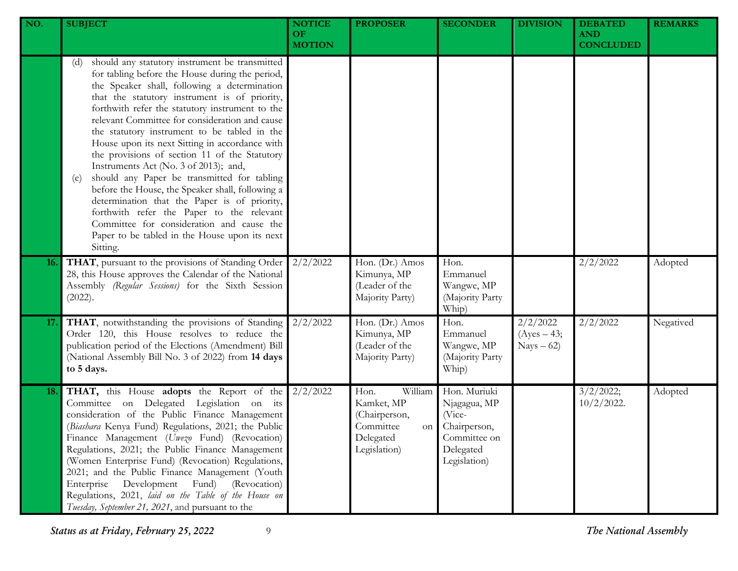| NO. | <b>SUBJECT</b>                                                                                                                                                                                                                                                                                                                                                                                                                                                                                                                                                                                                                                                                                                                                                                                                              | <b>NOTICE</b><br><b>OF</b><br><b>MOTION</b> | <b>PROPOSER</b>                                                                                | <b>SECONDER</b>                                                                                     | <b>DIVISION</b>                          | <b>DEBATED</b><br><b>AND</b><br><b>CONCLUDED</b> | <b>REMARKS</b> |
|-----|-----------------------------------------------------------------------------------------------------------------------------------------------------------------------------------------------------------------------------------------------------------------------------------------------------------------------------------------------------------------------------------------------------------------------------------------------------------------------------------------------------------------------------------------------------------------------------------------------------------------------------------------------------------------------------------------------------------------------------------------------------------------------------------------------------------------------------|---------------------------------------------|------------------------------------------------------------------------------------------------|-----------------------------------------------------------------------------------------------------|------------------------------------------|--------------------------------------------------|----------------|
|     | should any statutory instrument be transmitted<br>(d)<br>for tabling before the House during the period,<br>the Speaker shall, following a determination<br>that the statutory instrument is of priority,<br>forthwith refer the statutory instrument to the<br>relevant Committee for consideration and cause<br>the statutory instrument to be tabled in the<br>House upon its next Sitting in accordance with<br>the provisions of section 11 of the Statutory<br>Instruments Act (No. 3 of 2013); and,<br>should any Paper be transmitted for tabling<br>(e)<br>before the House, the Speaker shall, following a<br>determination that the Paper is of priority,<br>forthwith refer the Paper to the relevant<br>Committee for consideration and cause the<br>Paper to be tabled in the House upon its next<br>Sitting. |                                             |                                                                                                |                                                                                                     |                                          |                                                  |                |
| 16. | THAT, pursuant to the provisions of Standing Order<br>28, this House approves the Calendar of the National<br>Assembly (Regular Sessions) for the Sixth Session<br>(2022).                                                                                                                                                                                                                                                                                                                                                                                                                                                                                                                                                                                                                                                  | 2/2/2022                                    | Hon. (Dr.) Amos<br>Kimunya, MP<br>(Leader of the<br>Majority Party)                            | Hon.<br>Emmanuel<br>Wangwe, MP<br>(Majority Party<br>Whip)                                          |                                          | 2/2/2022                                         | Adopted        |
| 17. | THAT, notwithstanding the provisions of Standing<br>Order 120, this House resolves to reduce the<br>publication period of the Elections (Amendment) Bill<br>(National Assembly Bill No. 3 of 2022) from 14 days<br>to 5 days.                                                                                                                                                                                                                                                                                                                                                                                                                                                                                                                                                                                               | 2/2/2022                                    | Hon. (Dr.) Amos<br>Kimunya, MP<br>(Leader of the<br>Majority Party)                            | Hon.<br>Emmanuel<br>Wangwe, MP<br>(Majority Party<br>Whip)                                          | 2/2/2022<br>$(Ayes - 43;$<br>$Nays - 62$ | 2/2/2022                                         | Negatived      |
| 18. | THAT, this House adopts the Report of the<br>Committee on Delegated Legislation on its<br>consideration of the Public Finance Management<br>(Biashara Kenya Fund) Regulations, 2021; the Public<br>Finance Management (Uwezo Fund) (Revocation)<br>Regulations, 2021; the Public Finance Management<br>(Women Enterprise Fund) (Revocation) Regulations,<br>2021; and the Public Finance Management (Youth<br>Development<br>(Revocation)<br>Enterprise<br>Fund)<br>Regulations, 2021, laid on the Table of the House on<br>Tuesday, September 21, 2021, and pursuant to the                                                                                                                                                                                                                                                | 2/2/2022                                    | William<br>Hon.<br>Kamket, MP<br>(Chairperson,<br>Committee<br>on<br>Delegated<br>Legislation) | Hon. Muriuki<br>Njagagua, MP<br>(Vice-<br>Chairperson,<br>Committee on<br>Delegated<br>Legislation) |                                          | 3/2/2022;<br>$10/2/2022$ .                       | Adopted        |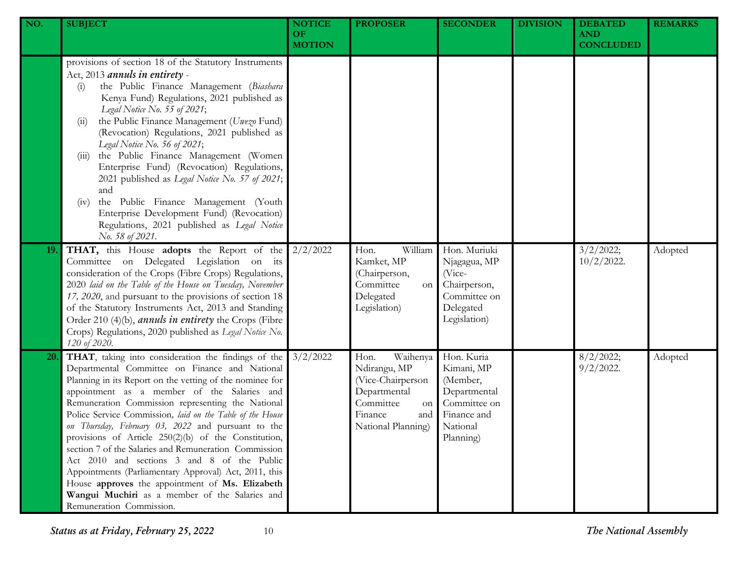| NO. | <b>SUBJECT</b>                                                                                                                                                                                                                                                                                                                                                                                                                                                                                                                                                                                                                                                                                                                                     | <b>NOTICE</b><br>OF.<br><b>MOTION</b> | <b>PROPOSER</b>                                                                                                                  | <b>SECONDER</b>                                                                                              | <b>DIVISION</b> | <b>DEBATED</b><br><b>AND</b><br><b>CONCLUDED</b> | <b>REMARKS</b> |
|-----|----------------------------------------------------------------------------------------------------------------------------------------------------------------------------------------------------------------------------------------------------------------------------------------------------------------------------------------------------------------------------------------------------------------------------------------------------------------------------------------------------------------------------------------------------------------------------------------------------------------------------------------------------------------------------------------------------------------------------------------------------|---------------------------------------|----------------------------------------------------------------------------------------------------------------------------------|--------------------------------------------------------------------------------------------------------------|-----------------|--------------------------------------------------|----------------|
|     | provisions of section 18 of the Statutory Instruments<br>Act, 2013 annuls in entirety -<br>the Public Finance Management (Biashara<br>(i)<br>Kenya Fund) Regulations, 2021 published as<br>Legal Notice No. 55 of 2021;<br>the Public Finance Management (Uwezo Fund)<br>(11)<br>(Revocation) Regulations, 2021 published as<br>Legal Notice No. 56 of 2021;<br>the Public Finance Management (Women<br>(111)<br>Enterprise Fund) (Revocation) Regulations,<br>2021 published as Legal Notice No. 57 of 2021;<br>and<br>the Public Finance Management (Youth<br>(iv)<br>Enterprise Development Fund) (Revocation)<br>Regulations, 2021 published as Legal Notice<br>No. 58 of 2021.                                                                |                                       |                                                                                                                                  |                                                                                                              |                 |                                                  |                |
| 19. | THAT, this House adopts the Report of the<br>Committee on Delegated Legislation on its<br>consideration of the Crops (Fibre Crops) Regulations,<br>2020 laid on the Table of the House on Tuesday, November<br>17, 2020, and pursuant to the provisions of section 18<br>of the Statutory Instruments Act, 2013 and Standing<br>Order 210 (4)(b), <i>annuls in entirety</i> the Crops (Fibre<br>Crops) Regulations, 2020 published as Legal Notice No.<br>120 of 2020.                                                                                                                                                                                                                                                                             | 2/2/2022                              | William<br>Hon.<br>Kamket, MP<br>(Chairperson,<br>Committee<br>on<br>Delegated<br>Legislation)                                   | Hon. Muriuki<br>Njagagua, MP<br>(Vice-<br>Chairperson,<br>Committee on<br>Delegated<br>Legislation)          |                 | 3/2/2022;<br>$10/2/2022$ .                       | Adopted        |
| 20. | THAT, taking into consideration the findings of the<br>Departmental Committee on Finance and National<br>Planning in its Report on the vetting of the nominee for<br>appointment as a member of the Salaries and<br>Remuneration Commission representing the National<br>Police Service Commission, laid on the Table of the House<br>on Thursday, February 03, 2022 and pursuant to the<br>provisions of Article 250(2)(b) of the Constitution,<br>section 7 of the Salaries and Remuneration Commission<br>Act 2010 and sections 3 and 8 of the Public<br>Appointments (Parliamentary Approval) Act, 2011, this<br>House approves the appointment of Ms. Elizabeth<br>Wangui Muchiri as a member of the Salaries and<br>Remuneration Commission. | 3/2/2022                              | Waihenya<br>Hon.<br>Ndirangu, MP<br>(Vice-Chairperson<br>Departmental<br>Committee<br>on<br>Finance<br>and<br>National Planning) | Hon. Kuria<br>Kimani, MP<br>(Member,<br>Departmental<br>Committee on<br>Finance and<br>National<br>Planning) |                 | 8/2/2022;<br>$9/2/2022$ .                        | Adopted        |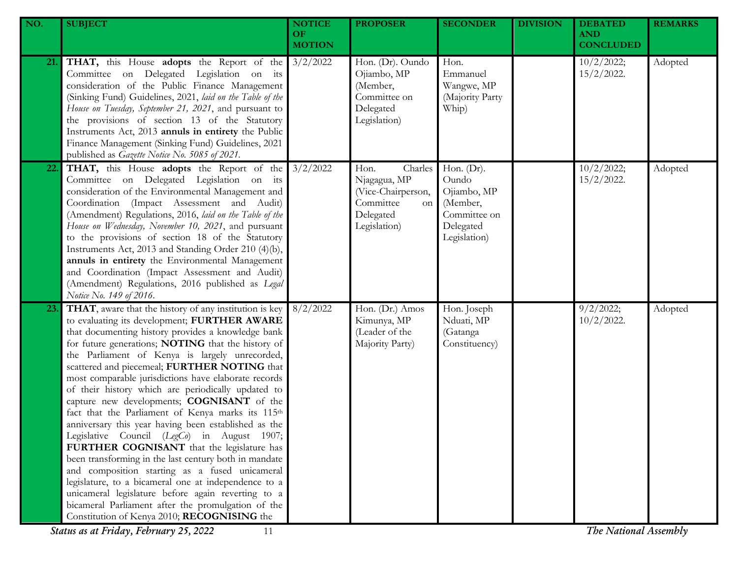| NO. | <b>SUBJECT</b>                                                                                                                                                                                                                                                                                                                                                                                                                                                                                                                                                                                                                                                                                                                                                                                                                                                                                                                                                                                                           | <b>NOTICE</b><br>OF.<br><b>MOTION</b> | <b>PROPOSER</b>                                                                                       | <b>SECONDER</b>                                                                                | <b>DIVISION</b> | <b>DEBATED</b><br><b>AND</b><br><b>CONCLUDED</b> | <b>REMARKS</b> |
|-----|--------------------------------------------------------------------------------------------------------------------------------------------------------------------------------------------------------------------------------------------------------------------------------------------------------------------------------------------------------------------------------------------------------------------------------------------------------------------------------------------------------------------------------------------------------------------------------------------------------------------------------------------------------------------------------------------------------------------------------------------------------------------------------------------------------------------------------------------------------------------------------------------------------------------------------------------------------------------------------------------------------------------------|---------------------------------------|-------------------------------------------------------------------------------------------------------|------------------------------------------------------------------------------------------------|-----------------|--------------------------------------------------|----------------|
| 21. | <b>THAT,</b> this House <b>adopts</b> the Report of the $3/2/2022$<br>Committee on Delegated Legislation on its<br>consideration of the Public Finance Management<br>(Sinking Fund) Guidelines, 2021, laid on the Table of the<br>House on Tuesday, September 21, 2021, and pursuant to<br>the provisions of section 13 of the Statutory<br>Instruments Act, 2013 annuls in entirety the Public<br>Finance Management (Sinking Fund) Guidelines, 2021<br>published as Gazette Notice No. 5085 of 2021.                                                                                                                                                                                                                                                                                                                                                                                                                                                                                                                   |                                       | Hon. (Dr). Oundo<br>Ojiambo, MP<br>(Member,<br>Committee on<br>Delegated<br>Legislation)              | Hon.<br>Emmanuel<br>Wangwe, MP<br>(Majority Party<br>Whip)                                     |                 | 10/2/2022;<br>$15/2/2022$ .                      | Adopted        |
| 22. | <b>THAT,</b> this House <b>adopts</b> the Report of the 3/2/2022<br>Committee on Delegated Legislation on its<br>consideration of the Environmental Management and<br>Coordination (Impact Assessment and Audit)<br>(Amendment) Regulations, 2016, laid on the Table of the<br>House on Wednesday, November 10, 2021, and pursuant<br>to the provisions of section 18 of the Statutory<br>Instruments Act, 2013 and Standing Order 210 (4)(b),<br>annuls in entirety the Environmental Management<br>and Coordination (Impact Assessment and Audit)<br>(Amendment) Regulations, 2016 published as Legal<br>Notice No. 149 of 2016.                                                                                                                                                                                                                                                                                                                                                                                       |                                       | Charles<br>Hon.<br>Njagagua, MP<br>(Vice-Chairperson,<br>Committee<br>on<br>Delegated<br>Legislation) | Hon. $(Dr)$ .<br>Oundo<br>Ojiambo, MP<br>(Member,<br>Committee on<br>Delegated<br>Legislation) |                 | 10/2/2022;<br>$15/2/2022$ .                      | Adopted        |
| 23. | THAT, aware that the history of any institution is key<br>to evaluating its development; FURTHER AWARE<br>that documenting history provides a knowledge bank<br>for future generations; NOTING that the history of<br>the Parliament of Kenya is largely unrecorded,<br>scattered and piecemeal; FURTHER NOTING that<br>most comparable jurisdictions have elaborate records<br>of their history which are periodically updated to<br>capture new developments; COGNISANT of the<br>fact that the Parliament of Kenya marks its 115th<br>anniversary this year having been established as the<br>Legislative Council (LegCo) in August 1907;<br>FURTHER COGNISANT that the legislature has<br>been transforming in the last century both in mandate<br>and composition starting as a fused unicameral<br>legislature, to a bicameral one at independence to a<br>unicameral legislature before again reverting to a<br>bicameral Parliament after the promulgation of the<br>Constitution of Kenya 2010; RECOGNISING the | 8/2/2022                              | Hon. (Dr.) Amos<br>Kimunya, MP<br>(Leader of the<br>Majority Party)                                   | Hon. Joseph<br>Nduati, MP<br>(Gatanga<br>Constituency)                                         |                 | 9/2/2022;<br>$10/2/2022$ .                       | Adopted        |

*Status as at Friday, February 25, 2022* 11 *The National Assembly*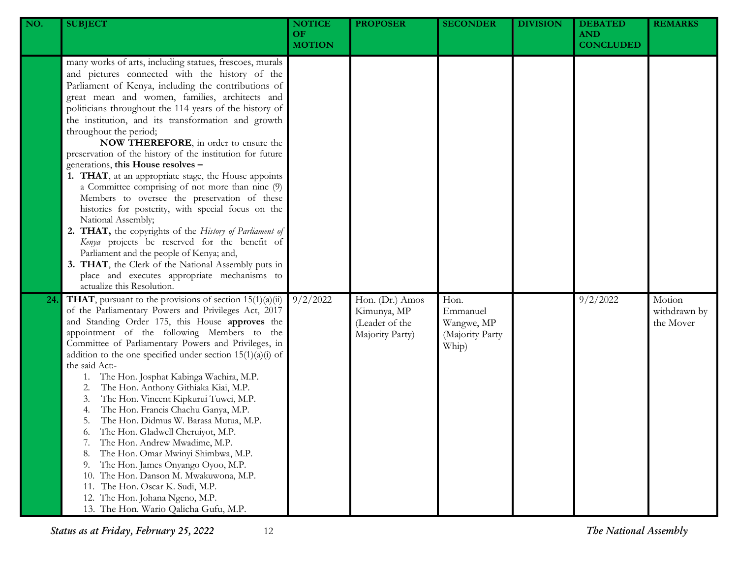| NO. | <b>SUBJECT</b>                                                                                                                                                                                                                                                                                                                                                                                                                                                                                                                                                                                                                                                                                                                                                                                                                                                                                                                                                                                                                                | <b>NOTICE</b><br>OF.<br><b>MOTION</b> | <b>PROPOSER</b>                                                     | <b>SECONDER</b>                                            | <b>DIVISION</b> | <b>DEBATED</b><br><b>AND</b><br><b>CONCLUDED</b> | <b>REMARKS</b>                      |
|-----|-----------------------------------------------------------------------------------------------------------------------------------------------------------------------------------------------------------------------------------------------------------------------------------------------------------------------------------------------------------------------------------------------------------------------------------------------------------------------------------------------------------------------------------------------------------------------------------------------------------------------------------------------------------------------------------------------------------------------------------------------------------------------------------------------------------------------------------------------------------------------------------------------------------------------------------------------------------------------------------------------------------------------------------------------|---------------------------------------|---------------------------------------------------------------------|------------------------------------------------------------|-----------------|--------------------------------------------------|-------------------------------------|
|     | many works of arts, including statues, frescoes, murals<br>and pictures connected with the history of the<br>Parliament of Kenya, including the contributions of<br>great mean and women, families, architects and<br>politicians throughout the 114 years of the history of<br>the institution, and its transformation and growth<br>throughout the period;<br>NOW THEREFORE, in order to ensure the<br>preservation of the history of the institution for future<br>generations, this House resolves -<br>1. THAT, at an appropriate stage, the House appoints<br>a Committee comprising of not more than nine (9)<br>Members to oversee the preservation of these<br>histories for posterity, with special focus on the<br>National Assembly;<br>2. THAT, the copyrights of the History of Parliament of<br>Kenya projects be reserved for the benefit of<br>Parliament and the people of Kenya; and,<br>3. THAT, the Clerk of the National Assembly puts in<br>place and executes appropriate mechanisms to<br>actualize this Resolution. |                                       |                                                                     |                                                            |                 |                                                  |                                     |
| 24  | <b>THAT</b> , pursuant to the provisions of section $15(1)(a)(ii)$<br>of the Parliamentary Powers and Privileges Act, 2017<br>and Standing Order 175, this House approves the<br>appointment of the following Members to the<br>Committee of Parliamentary Powers and Privileges, in<br>addition to the one specified under section $15(1)(a)(i)$ of<br>the said Act:-<br>The Hon. Josphat Kabinga Wachira, M.P.<br>1.<br>The Hon. Anthony Githiaka Kiai, M.P.<br>2.<br>The Hon. Vincent Kipkurui Tuwei, M.P.<br>3.<br>The Hon. Francis Chachu Ganya, M.P.<br>4.<br>The Hon. Didmus W. Barasa Mutua, M.P.<br>5.<br>The Hon. Gladwell Cheruiyot, M.P.<br>6.<br>The Hon. Andrew Mwadime, M.P.<br>7.<br>The Hon. Omar Mwinyi Shimbwa, M.P.<br>8.<br>The Hon. James Onyango Oyoo, M.P.<br>9.<br>The Hon. Danson M. Mwakuwona, M.P.<br>10.<br>The Hon. Oscar K. Sudi, M.P.<br>11.<br>12. The Hon. Johana Ngeno, M.P.<br>13. The Hon. Wario Qalicha Gufu, M.P.                                                                                      | 9/2/2022                              | Hon. (Dr.) Amos<br>Kimunya, MP<br>(Leader of the<br>Majority Party) | Hon.<br>Emmanuel<br>Wangwe, MP<br>(Majority Party<br>Whip) |                 | 9/2/2022                                         | Motion<br>withdrawn by<br>the Mover |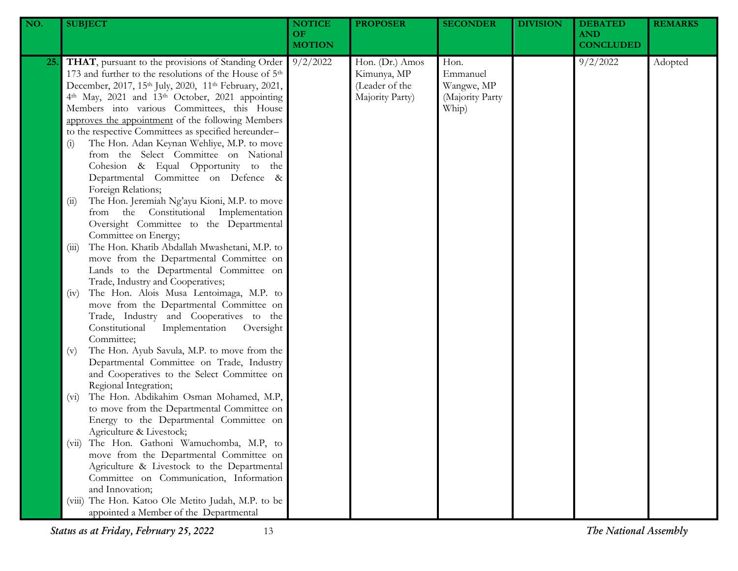| NO. | <b>SUBJECT</b>                                                                                                                                                                                                                                                                                                                                                                                                                                                                                                                                                                                                                                            | <b>NOTICE</b><br>OF<br><b>MOTION</b> | <b>PROPOSER</b>                                                     | <b>SECONDER</b>                                            | <b>DIVISION</b> | <b>DEBATED</b><br><b>AND</b><br><b>CONCLUDED</b> | <b>REMARKS</b> |
|-----|-----------------------------------------------------------------------------------------------------------------------------------------------------------------------------------------------------------------------------------------------------------------------------------------------------------------------------------------------------------------------------------------------------------------------------------------------------------------------------------------------------------------------------------------------------------------------------------------------------------------------------------------------------------|--------------------------------------|---------------------------------------------------------------------|------------------------------------------------------------|-----------------|--------------------------------------------------|----------------|
| 25. | THAT, pursuant to the provisions of Standing Order<br>173 and further to the resolutions of the House of 5 <sup>th</sup><br>December, 2017, 15th July, 2020, 11th February, 2021,<br>4th May, 2021 and 13th October, 2021 appointing<br>Members into various Committees, this House<br>approves the appointment of the following Members<br>to the respective Committees as specified hereunder-<br>The Hon. Adan Keynan Wehliye, M.P. to move<br>(i)<br>from the Select Committee on National<br>Cohesion & Equal Opportunity to the<br>Departmental Committee on Defence &<br>Foreign Relations;<br>The Hon. Jeremiah Ng'ayu Kioni, M.P. to move<br>(i) | 9/2/2022                             | Hon. (Dr.) Amos<br>Kimunya, MP<br>(Leader of the<br>Majority Party) | Hon.<br>Emmanuel<br>Wangwe, MP<br>(Majority Party<br>Whip) |                 | 9/2/2022                                         | Adopted        |
|     | from the Constitutional Implementation<br>Oversight Committee to the Departmental<br>Committee on Energy;<br>The Hon. Khatib Abdallah Mwashetani, M.P. to<br>(iii)<br>move from the Departmental Committee on<br>Lands to the Departmental Committee on<br>Trade, Industry and Cooperatives;                                                                                                                                                                                                                                                                                                                                                              |                                      |                                                                     |                                                            |                 |                                                  |                |
|     | The Hon. Alois Musa Lentoimaga, M.P. to<br>(iv)<br>move from the Departmental Committee on<br>Trade, Industry and Cooperatives to the<br>Constitutional<br>Implementation<br>Oversight<br>Committee;                                                                                                                                                                                                                                                                                                                                                                                                                                                      |                                      |                                                                     |                                                            |                 |                                                  |                |
|     | The Hon. Ayub Savula, M.P. to move from the<br>(v)<br>Departmental Committee on Trade, Industry<br>and Cooperatives to the Select Committee on<br>Regional Integration;<br>The Hon. Abdikahim Osman Mohamed, M.P,<br>$(v_i)$<br>to move from the Departmental Committee on                                                                                                                                                                                                                                                                                                                                                                                |                                      |                                                                     |                                                            |                 |                                                  |                |
|     | Energy to the Departmental Committee on<br>Agriculture & Livestock;<br>The Hon. Gathoni Wamuchomba, M.P, to<br>(V11)<br>move from the Departmental Committee on<br>Agriculture & Livestock to the Departmental                                                                                                                                                                                                                                                                                                                                                                                                                                            |                                      |                                                                     |                                                            |                 |                                                  |                |
|     | Committee on Communication, Information<br>and Innovation;<br>(viii) The Hon. Katoo Ole Metito Judah, M.P. to be<br>appointed a Member of the Departmental                                                                                                                                                                                                                                                                                                                                                                                                                                                                                                |                                      |                                                                     |                                                            |                 |                                                  |                |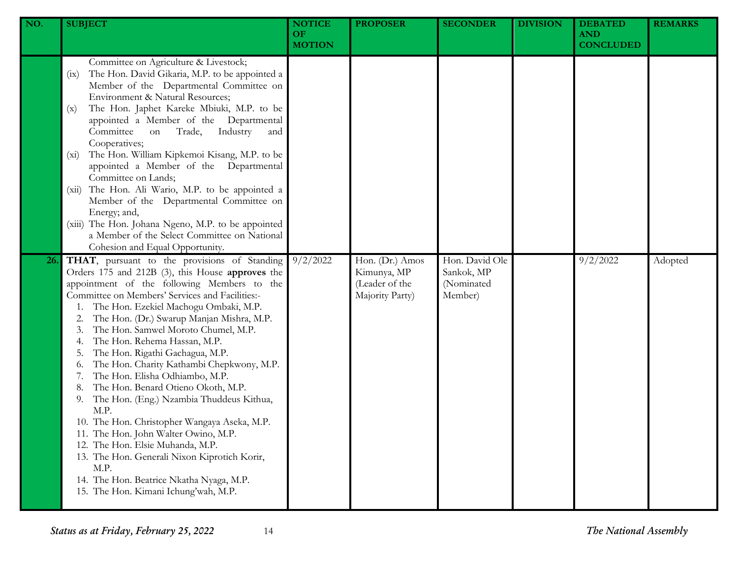| NO. | <b>SUBJECT</b>                                                                                                                                                                                                                                                                                                                                                                                                                                                                                                                                                                                                                                                                                                                                                                                                                                                  | <b>NOTICE</b><br><b>OF</b><br><b>MOTION</b> | <b>PROPOSER</b>                                                     | <b>SECONDER</b>                                       | <b>DIVISION</b> | <b>DEBATED</b><br><b>AND</b><br><b>CONCLUDED</b> | <b>REMARKS</b> |
|-----|-----------------------------------------------------------------------------------------------------------------------------------------------------------------------------------------------------------------------------------------------------------------------------------------------------------------------------------------------------------------------------------------------------------------------------------------------------------------------------------------------------------------------------------------------------------------------------------------------------------------------------------------------------------------------------------------------------------------------------------------------------------------------------------------------------------------------------------------------------------------|---------------------------------------------|---------------------------------------------------------------------|-------------------------------------------------------|-----------------|--------------------------------------------------|----------------|
|     | Committee on Agriculture & Livestock;<br>The Hon. David Gikaria, M.P. to be appointed a<br>(ix)<br>Member of the Departmental Committee on<br>Environment & Natural Resources;<br>The Hon. Japhet Kareke Mbiuki, M.P. to be<br>(x)<br>appointed a Member of the Departmental<br>Committee<br>Industry<br>Trade,<br>on<br>and<br>Cooperatives;<br>The Hon. William Kipkemoi Kisang, M.P. to be<br>$(x_i)$<br>appointed a Member of the Departmental<br>Committee on Lands;<br>The Hon. Ali Wario, M.P. to be appointed a<br>(xii)<br>Member of the Departmental Committee on<br>Energy; and,<br>(xiii) The Hon. Johana Ngeno, M.P. to be appointed<br>a Member of the Select Committee on National<br>Cohesion and Equal Opportunity.                                                                                                                            |                                             |                                                                     |                                                       |                 |                                                  |                |
| 26. | THAT, pursuant to the provisions of Standing<br>Orders 175 and 212B (3), this House approves the<br>appointment of the following Members to the<br>Committee on Members' Services and Facilities:-<br>The Hon. Ezekiel Machogu Ombaki, M.P.<br>The Hon. (Dr.) Swarup Manjan Mishra, M.P.<br>The Hon. Samwel Moroto Chumel, M.P.<br>The Hon. Rehema Hassan, M.P.<br>The Hon. Rigathi Gachagua, M.P.<br>The Hon. Charity Kathambi Chepkwony, M.P.<br>0.<br>The Hon. Elisha Odhiambo, M.P.<br>The Hon. Benard Otieno Okoth, M.P.<br>The Hon. (Eng.) Nzambia Thuddeus Kithua,<br>9.<br>M.P.<br>10. The Hon. Christopher Wangaya Aseka, M.P.<br>11. The Hon. John Walter Owino, M.P.<br>12. The Hon. Elsie Muhanda, M.P.<br>13. The Hon. Generali Nixon Kiprotich Korir,<br>M.P.<br>14. The Hon. Beatrice Nkatha Nyaga, M.P.<br>15. The Hon. Kimani Ichung'wah, M.P. | 9/2/2022                                    | Hon. (Dr.) Amos<br>Kimunya, MP<br>(Leader of the<br>Majority Party) | Hon. David Ole<br>Sankok, MP<br>(Nominated<br>Member) |                 | 9/2/2022                                         | Adopted        |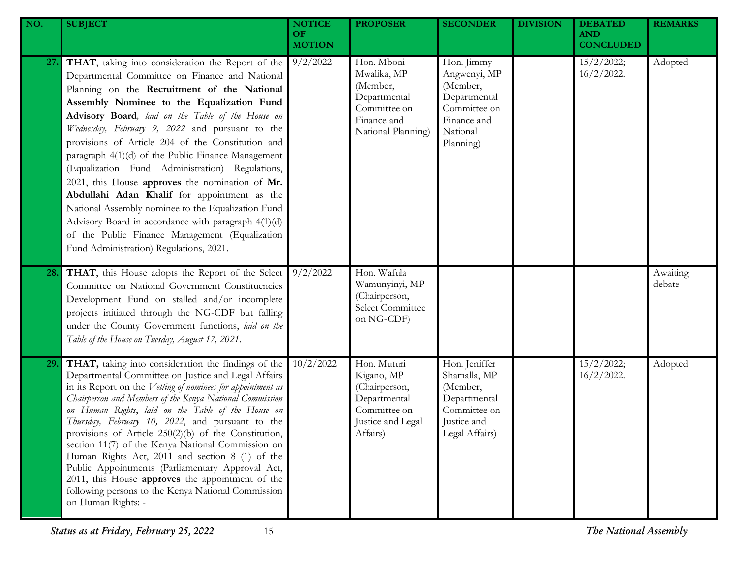| NO. | <b>SUBJECT</b>                                                                                                                                                                                                                                                                                                                                                                                                                                                                                                                                                                                                                                                                                                                                                                     | <b>NOTICE</b><br>OF.<br><b>MOTION</b> | <b>PROPOSER</b>                                                                                             | <b>SECONDER</b>                                                                                                | <b>DIVISION</b> | <b>DEBATED</b><br><b>AND</b><br><b>CONCLUDED</b> | <b>REMARKS</b>     |
|-----|------------------------------------------------------------------------------------------------------------------------------------------------------------------------------------------------------------------------------------------------------------------------------------------------------------------------------------------------------------------------------------------------------------------------------------------------------------------------------------------------------------------------------------------------------------------------------------------------------------------------------------------------------------------------------------------------------------------------------------------------------------------------------------|---------------------------------------|-------------------------------------------------------------------------------------------------------------|----------------------------------------------------------------------------------------------------------------|-----------------|--------------------------------------------------|--------------------|
| 27. | THAT, taking into consideration the Report of the<br>Departmental Committee on Finance and National<br>Planning on the Recruitment of the National<br>Assembly Nominee to the Equalization Fund<br>Advisory Board, laid on the Table of the House on<br>Wednesday, February 9, 2022 and pursuant to the<br>provisions of Article 204 of the Constitution and<br>paragraph 4(1)(d) of the Public Finance Management<br>(Equalization Fund Administration) Regulations,<br>2021, this House approves the nomination of Mr.<br>Abdullahi Adan Khalif for appointment as the<br>National Assembly nominee to the Equalization Fund<br>Advisory Board in accordance with paragraph 4(1)(d)<br>of the Public Finance Management (Equalization<br>Fund Administration) Regulations, 2021. | 9/2/2022                              | Hon. Mboni<br>Mwalika, MP<br>(Member,<br>Departmental<br>Committee on<br>Finance and<br>National Planning)  | Hon. Jimmy<br>Angwenyi, MP<br>(Member,<br>Departmental<br>Committee on<br>Finance and<br>National<br>Planning) |                 | 15/2/2022;<br>$16/2/2022$ .                      | Adopted            |
| 28. | THAT, this House adopts the Report of the Select<br>Committee on National Government Constituencies<br>Development Fund on stalled and/or incomplete<br>projects initiated through the NG-CDF but falling<br>under the County Government functions, laid on the<br>Table of the House on Tuesday, August 17, 2021.                                                                                                                                                                                                                                                                                                                                                                                                                                                                 | 9/2/2022                              | Hon. Wafula<br>Wamunyinyi, MP<br>(Chairperson,<br>Select Committee<br>on NG-CDF)                            |                                                                                                                |                 |                                                  | Awaiting<br>debate |
| 29. | THAT, taking into consideration the findings of the<br>Departmental Committee on Justice and Legal Affairs<br>in its Report on the Vetting of nominees for appointment as<br>Chairperson and Members of the Kenya National Commission<br>on Human Rights, laid on the Table of the House on<br>Thursday, February 10, 2022, and pursuant to the<br>provisions of Article 250(2)(b) of the Constitution,<br>section 11(7) of the Kenya National Commission on<br>Human Rights Act, 2011 and section 8 (1) of the<br>Public Appointments (Parliamentary Approval Act,<br>2011, this House approves the appointment of the<br>following persons to the Kenya National Commission<br>on Human Rights: -                                                                                | 10/2/2022                             | Hon. Muturi<br>Kigano, MP<br>(Chairperson,<br>Departmental<br>Committee on<br>Justice and Legal<br>Affairs) | Hon. Jeniffer<br>Shamalla, MP<br>(Member,<br>Departmental<br>Committee on<br>Justice and<br>Legal Affairs)     |                 | 15/2/2022;<br>$16/2/2022$ .                      | Adopted            |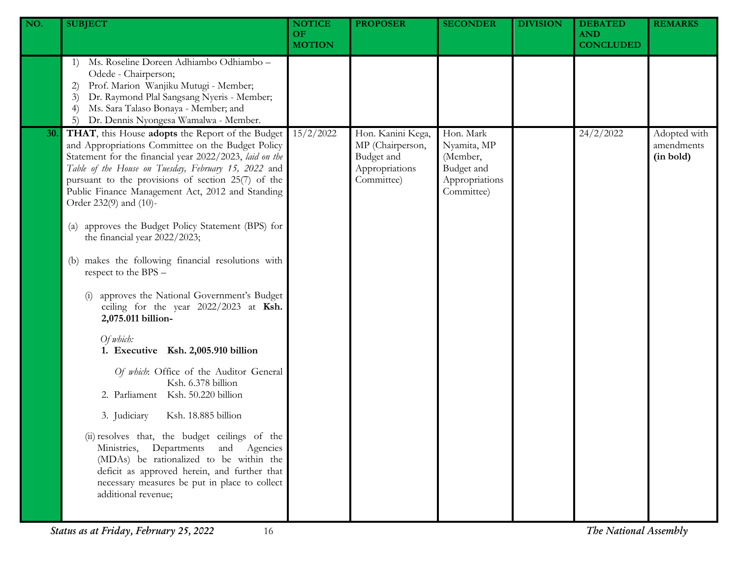| NO. | <b>SUBJECT</b>                                                                                                                                                                                                                                                                                                                                               | <b>NOTICE</b><br><b>OF</b><br><b>MOTION</b> | <b>PROPOSER</b>                                                                     | <b>SECONDER</b>                                                                    | <b>DIVISION</b> | <b>DEBATED</b><br><b>AND</b><br><b>CONCLUDED</b> | <b>REMARKS</b>                          |
|-----|--------------------------------------------------------------------------------------------------------------------------------------------------------------------------------------------------------------------------------------------------------------------------------------------------------------------------------------------------------------|---------------------------------------------|-------------------------------------------------------------------------------------|------------------------------------------------------------------------------------|-----------------|--------------------------------------------------|-----------------------------------------|
|     | Ms. Roseline Doreen Adhiambo Odhiambo -<br>1)<br>Odede - Chairperson;<br>Prof. Marion Wanjiku Mutugi - Member;<br>2)<br>Dr. Raymond Plal Sangsang Nyeris - Member;<br>3)<br>Ms. Sara Talaso Bonaya - Member; and<br>$\left(4\right)$<br>Dr. Dennis Nyongesa Wamalwa - Member.<br>5)                                                                          |                                             |                                                                                     |                                                                                    |                 |                                                  |                                         |
| 30. | THAT, this House adopts the Report of the Budget<br>and Appropriations Committee on the Budget Policy<br>Statement for the financial year 2022/2023, laid on the<br>Table of the House on Tuesday, February 15, 2022 and<br>pursuant to the provisions of section 25(7) of the<br>Public Finance Management Act, 2012 and Standing<br>Order 232(9) and (10)- | 15/2/2022                                   | Hon. Kanini Kega,<br>MP (Chairperson,<br>Budget and<br>Appropriations<br>Committee) | Hon. Mark<br>Nyamita, MP<br>(Member,<br>Budget and<br>Appropriations<br>Committee) |                 | 24/2/2022                                        | Adopted with<br>amendments<br>(in bold) |
|     | approves the Budget Policy Statement (BPS) for<br>$\left( a\right)$<br>the financial year 2022/2023;                                                                                                                                                                                                                                                         |                                             |                                                                                     |                                                                                    |                 |                                                  |                                         |
|     | makes the following financial resolutions with<br>(b)<br>respect to the BPS -                                                                                                                                                                                                                                                                                |                                             |                                                                                     |                                                                                    |                 |                                                  |                                         |
|     | approves the National Government's Budget<br>ceiling for the year 2022/2023 at Ksh.<br>2,075.011 billion-                                                                                                                                                                                                                                                    |                                             |                                                                                     |                                                                                    |                 |                                                  |                                         |
|     | Of which:<br>1. Executive Ksh. 2,005.910 billion                                                                                                                                                                                                                                                                                                             |                                             |                                                                                     |                                                                                    |                 |                                                  |                                         |
|     | Of which: Office of the Auditor General<br>Ksh. 6.378 billion<br>2. Parliament Ksh. 50.220 billion                                                                                                                                                                                                                                                           |                                             |                                                                                     |                                                                                    |                 |                                                  |                                         |
|     | 3. Judiciary<br>Ksh. 18.885 billion                                                                                                                                                                                                                                                                                                                          |                                             |                                                                                     |                                                                                    |                 |                                                  |                                         |
|     | (ii) resolves that, the budget ceilings of the<br>Ministries, Departments and Agencies<br>(MDAs) be rationalized to be within the<br>deficit as approved herein, and further that<br>necessary measures be put in place to collect<br>additional revenue;                                                                                                    |                                             |                                                                                     |                                                                                    |                 |                                                  |                                         |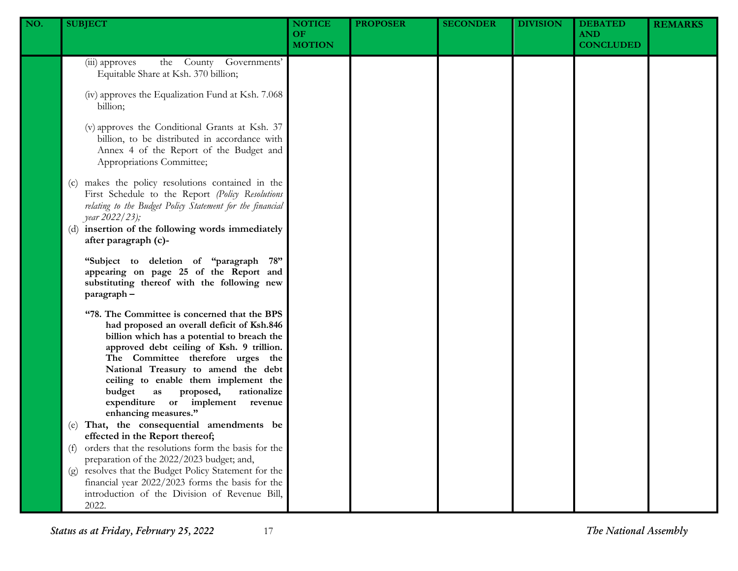| NO. | <b>SUBJECT</b>                                                                                                                                                                                                                                                                                                                                                                                                  | <b>NOTICE</b><br><b>OF</b><br><b>MOTION</b> | <b>PROPOSER</b> | <b>SECONDER</b> | <b>DIVISION</b> | <b>DEBATED</b><br><b>AND</b><br><b>CONCLUDED</b> | <b>REMARKS</b> |
|-----|-----------------------------------------------------------------------------------------------------------------------------------------------------------------------------------------------------------------------------------------------------------------------------------------------------------------------------------------------------------------------------------------------------------------|---------------------------------------------|-----------------|-----------------|-----------------|--------------------------------------------------|----------------|
|     | the County Governments'<br>(iii) approves<br>Equitable Share at Ksh. 370 billion;                                                                                                                                                                                                                                                                                                                               |                                             |                 |                 |                 |                                                  |                |
|     | (iv) approves the Equalization Fund at Ksh. 7.068<br>billion;                                                                                                                                                                                                                                                                                                                                                   |                                             |                 |                 |                 |                                                  |                |
|     | (v) approves the Conditional Grants at Ksh. 37<br>billion, to be distributed in accordance with<br>Annex 4 of the Report of the Budget and<br>Appropriations Committee;                                                                                                                                                                                                                                         |                                             |                 |                 |                 |                                                  |                |
|     | makes the policy resolutions contained in the<br>(c)<br>First Schedule to the Report (Policy Resolutions<br>relating to the Budget Policy Statement for the financial<br><i>year</i> 2022/23);<br>(d) insertion of the following words immediately<br>after paragraph (c)-                                                                                                                                      |                                             |                 |                 |                 |                                                  |                |
|     | "Subject to deletion of "paragraph 78"<br>appearing on page 25 of the Report and<br>substituting thereof with the following new<br>paragraph-                                                                                                                                                                                                                                                                   |                                             |                 |                 |                 |                                                  |                |
|     | "78. The Committee is concerned that the BPS<br>had proposed an overall deficit of Ksh.846<br>billion which has a potential to breach the<br>approved debt ceiling of Ksh. 9 trillion.<br>The Committee therefore urges the<br>National Treasury to amend the debt<br>ceiling to enable them implement the<br>budget<br>rationalize<br>as proposed,<br>expenditure or implement revenue<br>enhancing measures." |                                             |                 |                 |                 |                                                  |                |
|     | That, the consequential amendments be<br>(e)<br>effected in the Report thereof;                                                                                                                                                                                                                                                                                                                                 |                                             |                 |                 |                 |                                                  |                |
|     | orders that the resolutions form the basis for the<br>(f)<br>preparation of the 2022/2023 budget; and,                                                                                                                                                                                                                                                                                                          |                                             |                 |                 |                 |                                                  |                |
|     | (g) resolves that the Budget Policy Statement for the<br>financial year 2022/2023 forms the basis for the<br>introduction of the Division of Revenue Bill,<br>2022.                                                                                                                                                                                                                                             |                                             |                 |                 |                 |                                                  |                |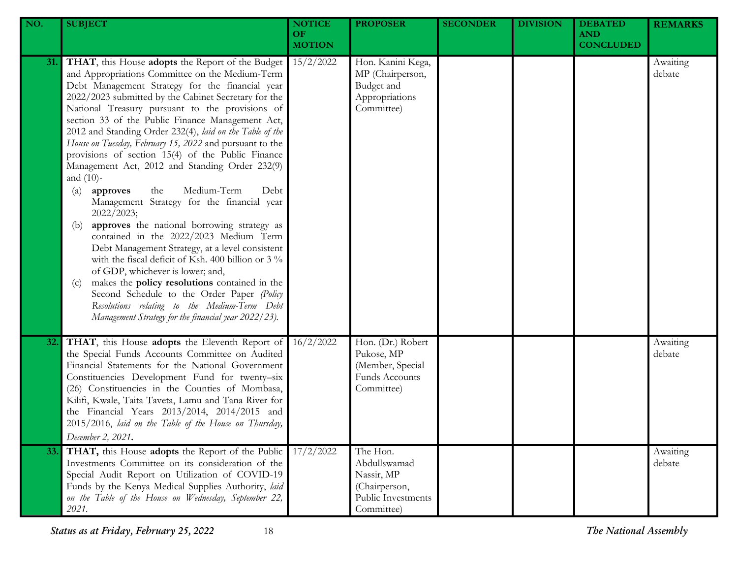| NO. | <b>SUBJECT</b>                                                                                                                                                                                                                                                                                                                                                                                                                                                                                                                                                                                                                                                                                                                                                                                                                                                                                                                                                                                                                                                                                                                                                           | <b>NOTICE</b><br><b>OF</b><br><b>MOTION</b> | <b>PROPOSER</b>                                                                             | <b>SECONDER</b> | <b>DIVISION</b> | <b>DEBATED</b><br><b>AND</b><br><b>CONCLUDED</b> | <b>REMARKS</b>     |
|-----|--------------------------------------------------------------------------------------------------------------------------------------------------------------------------------------------------------------------------------------------------------------------------------------------------------------------------------------------------------------------------------------------------------------------------------------------------------------------------------------------------------------------------------------------------------------------------------------------------------------------------------------------------------------------------------------------------------------------------------------------------------------------------------------------------------------------------------------------------------------------------------------------------------------------------------------------------------------------------------------------------------------------------------------------------------------------------------------------------------------------------------------------------------------------------|---------------------------------------------|---------------------------------------------------------------------------------------------|-----------------|-----------------|--------------------------------------------------|--------------------|
| 31. | THAT, this House adopts the Report of the Budget<br>and Appropriations Committee on the Medium-Term<br>Debt Management Strategy for the financial year<br>2022/2023 submitted by the Cabinet Secretary for the<br>National Treasury pursuant to the provisions of<br>section 33 of the Public Finance Management Act,<br>2012 and Standing Order 232(4), laid on the Table of the<br>House on Tuesday, February 15, 2022 and pursuant to the<br>provisions of section 15(4) of the Public Finance<br>Management Act, 2012 and Standing Order 232(9)<br>and $(10)$ -<br>Medium-Term<br>approves<br>the<br>Debt<br>$\left( \text{a} \right)$<br>Management Strategy for the financial year<br>2022/2023;<br>approves the national borrowing strategy as<br>(b)<br>contained in the 2022/2023 Medium Term<br>Debt Management Strategy, at a level consistent<br>with the fiscal deficit of Ksh. 400 billion or 3 %<br>of GDP, whichever is lower; and,<br>makes the <b>policy</b> resolutions contained in the<br>(c)<br>Second Schedule to the Order Paper (Policy<br>Resolutions relating to the Medium-Term Debt<br>Management Strategy for the financial year 2022/23). | 15/2/2022                                   | Hon. Kanini Kega,<br>MP (Chairperson,<br>Budget and<br>Appropriations<br>Committee)         |                 |                 |                                                  | Awaiting<br>debate |
| 32. | THAT, this House adopts the Eleventh Report of<br>the Special Funds Accounts Committee on Audited<br>Financial Statements for the National Government<br>Constituencies Development Fund for twenty-six<br>(26) Constituencies in the Counties of Mombasa,<br>Kilifi, Kwale, Taita Taveta, Lamu and Tana River for<br>the Financial Years 2013/2014, 2014/2015 and<br>2015/2016, laid on the Table of the House on Thursday,<br>December 2, 2021.                                                                                                                                                                                                                                                                                                                                                                                                                                                                                                                                                                                                                                                                                                                        | 16/2/2022                                   | Hon. (Dr.) Robert<br>Pukose, MP<br>(Member, Special<br>Funds Accounts<br>Committee)         |                 |                 |                                                  | Awaiting<br>debate |
| 33. | THAT, this House adopts the Report of the Public<br>Investments Committee on its consideration of the<br>Special Audit Report on Utilization of COVID-19<br>Funds by the Kenya Medical Supplies Authority, laid<br>on the Table of the House on Wednesday, September 22,<br>2021.                                                                                                                                                                                                                                                                                                                                                                                                                                                                                                                                                                                                                                                                                                                                                                                                                                                                                        | 17/2/2022                                   | The Hon.<br>Abdullswamad<br>Nassir, MP<br>(Chairperson,<br>Public Investments<br>Committee) |                 |                 |                                                  | Awaiting<br>debate |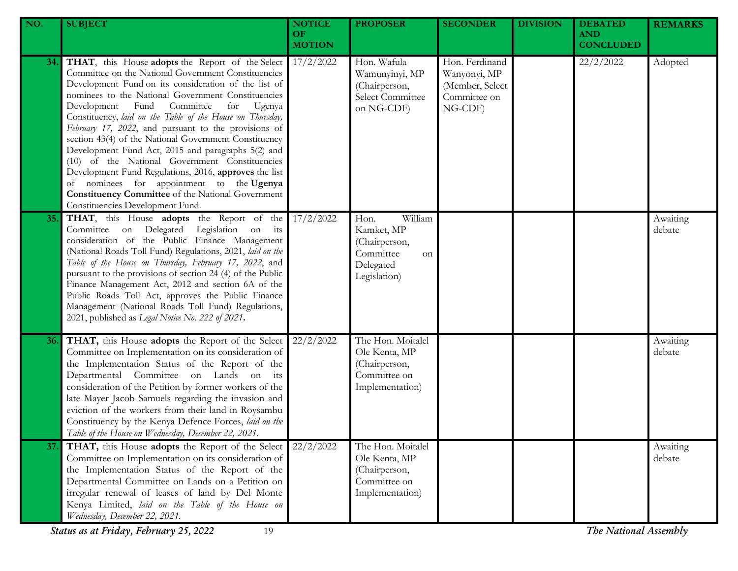| NO. | <b>SUBJECT</b>                                                                                                                                                                                                                                                                                                                                                                                                                                                                                                                                                                                                                                                                                                                                                         | <b>NOTICE</b><br>OF.<br><b>MOTION</b> | <b>PROPOSER</b>                                                                                | <b>SECONDER</b>                                                              | <b>DIVISION</b> | <b>DEBATED</b><br><b>AND</b><br><b>CONCLUDED</b> | <b>REMARKS</b>     |
|-----|------------------------------------------------------------------------------------------------------------------------------------------------------------------------------------------------------------------------------------------------------------------------------------------------------------------------------------------------------------------------------------------------------------------------------------------------------------------------------------------------------------------------------------------------------------------------------------------------------------------------------------------------------------------------------------------------------------------------------------------------------------------------|---------------------------------------|------------------------------------------------------------------------------------------------|------------------------------------------------------------------------------|-----------------|--------------------------------------------------|--------------------|
| 34. | THAT, this House adopts the Report of the Select<br>Committee on the National Government Constituencies<br>Development Fund on its consideration of the list of<br>nominees to the National Government Constituencies<br>Committee<br>Development Fund<br>for<br>Ugenya<br>Constituency, laid on the Table of the House on Thursday,<br>February 17, 2022, and pursuant to the provisions of<br>section 43(4) of the National Government Constituency<br>Development Fund Act, 2015 and paragraphs 5(2) and<br>(10) of the National Government Constituencies<br>Development Fund Regulations, 2016, approves the list<br>nominees for appointment to the Ugenya<br>of<br><b>Constituency Committee</b> of the National Government<br>Constituencies Development Fund. | 17/2/2022                             | Hon. Wafula<br>Wamunyinyi, MP<br>(Chairperson,<br>Select Committee<br>on NG-CDF)               | Hon. Ferdinand<br>Wanyonyi, MP<br>(Member, Select<br>Committee on<br>NG-CDF) |                 | 22/2/2022                                        | Adopted            |
| 35. | THAT, this House adopts the Report of the<br>Committee on Delegated Legislation on its<br>consideration of the Public Finance Management<br>(National Roads Toll Fund) Regulations, 2021, laid on the<br>Table of the House on Thursday, February 17, 2022, and<br>pursuant to the provisions of section 24 (4) of the Public<br>Finance Management Act, 2012 and section 6A of the<br>Public Roads Toll Act, approves the Public Finance<br>Management (National Roads Toll Fund) Regulations,<br>2021, published as Legal Notice No. 222 of 2021.                                                                                                                                                                                                                    | 17/2/2022                             | William<br>Hon.<br>Kamket, MP<br>(Chairperson,<br>Committee<br>on<br>Delegated<br>Legislation) |                                                                              |                 |                                                  | Awaiting<br>debate |
| 36. | THAT, this House adopts the Report of the Select<br>Committee on Implementation on its consideration of<br>the Implementation Status of the Report of the<br>Departmental Committee on Lands on its<br>consideration of the Petition by former workers of the<br>late Mayer Jacob Samuels regarding the invasion and<br>eviction of the workers from their land in Roysambu<br>Constituency by the Kenya Defence Forces, laid on the<br>Table of the House on Wednesday, December 22, 2021.                                                                                                                                                                                                                                                                            | 22/2/2022                             | The Hon. Moitalel<br>Ole Kenta, MP<br>(Chairperson,<br>Committee on<br>Implementation)         |                                                                              |                 |                                                  | Awaiting<br>debate |
| 37. | THAT, this House adopts the Report of the Select<br>Committee on Implementation on its consideration of<br>the Implementation Status of the Report of the<br>Departmental Committee on Lands on a Petition on<br>irregular renewal of leases of land by Del Monte<br>Kenya Limited, laid on the Table of the House on<br>Wednesday, December 22, 2021.<br>Status as at Friday, February 25, 2022<br>19                                                                                                                                                                                                                                                                                                                                                                 | 22/2/2022                             | The Hon. Moitalel<br>Ole Kenta, MP<br>(Chairperson,<br>Committee on<br>Implementation)         |                                                                              |                 | The National Assembly                            | Awaiting<br>debate |